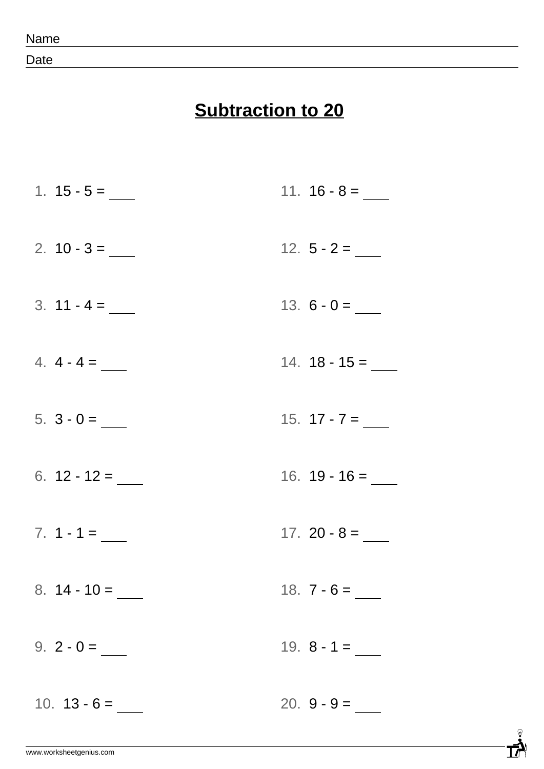Date

## **Subtraction to 20**

1.  $15 - 5 =$ 2.  $10 - 3 =$  $3. 11 - 4 =$ 4. 4 - 4 = 5. 3 - 0 = 6.  $12 - 12 =$  $7. 1 - 1 = \_$ 8. 14 - 10 =  $9. 2 - 0 =$ 10.  $13 - 6 =$ 11.  $16 - 8 =$ 12. 5 - 2 = 13.  $6 - 0 =$ 14. 18 - 15 = 15.  $17 - 7 =$ 16. 19 - 16 = 17. 20 - 8 = 18. 7 - 6 = 19. 8 - 1 = 20.  $9 - 9 =$